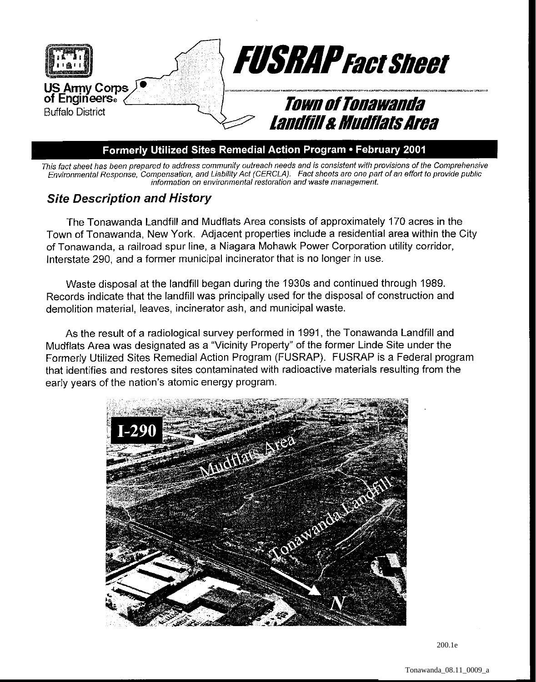

## Formerly Utilized Sites Remedial Action Program . February 2001

This fact sheet has been prepared to address community outreach needs and is consisfent with provisions of the Comprehensive Envimnmental Response, Compensation, and Liability Act (CERCLA). Fact sheets are one part of an effort to provide public information on environmental restoration and waste management.

## **Site Description and History**

The Tonawanda Landfill and Mudflats Area consists of approximately 170 acres in the Town of Tonawanda, New York. Adjacent properties include a residential area within the City of Tonawanda, a railroad spur line, a Niagara Mohawk Power Corporation utility corridor, Interstate 290, and a former municipal incinerator that is no longer in use.

Waste disposal at the landfill began during the 1930s and continued through 1989. Records indicate that the landfill was principally used for the disposal of construction and demolition material, leaves, incinerator ash, and municipal waste.

As the result of a radiological survey performed in 1991, the Tonawanda Landfill and Mudflats Area was designated as a "Vicinity Property" of the former Linde Site under the Formerly Utilized Sites Remedial Action Program (FUSRAP). FUSRAP is a Federal program that identifies and restores sites contaminated with radioactive materials resulting from the early years of the nation's atomic energy program.